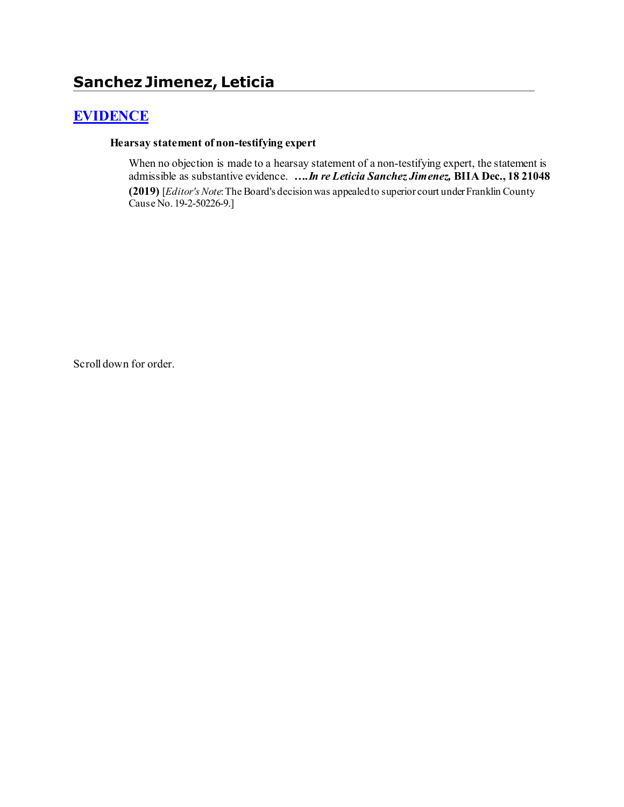# **[EVIDENCE](http://www.biia.wa.gov/SDSubjectIndex.html#EVIDENCE)**

#### **Hearsay statement of non-testifying expert**

When no objection is made to a hearsay statement of a non-testifying expert, the statement is admissible as substantive evidence. *….In re Leticia Sanchez Jimenez,* **BIIA Dec., 18 21048 (2019)** [*Editor'sNote*: The Board's decision was appealed to superior court under Franklin County Cause No. 19-2-50226-9.]

Scroll down for order.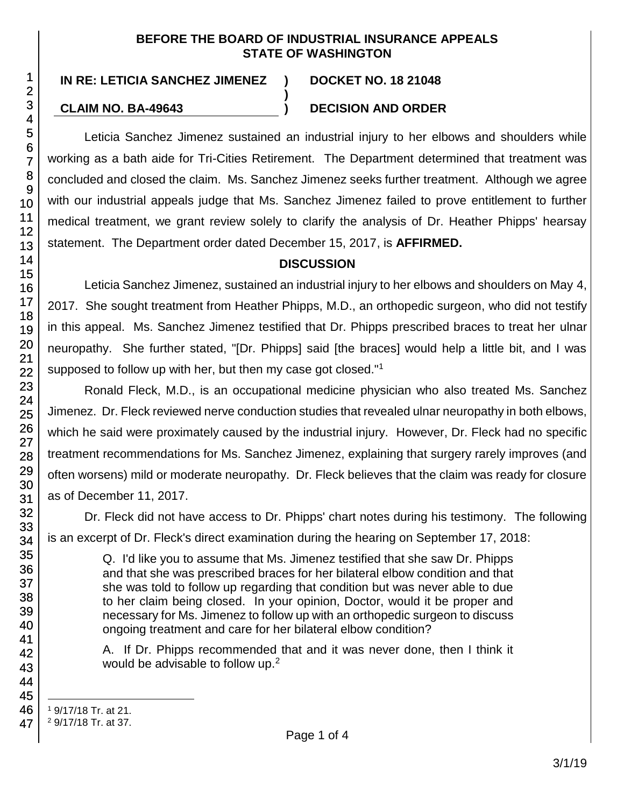#### **BEFORE THE BOARD OF INDUSTRIAL INSURANCE APPEALS STATE OF WASHINGTON**

**)**

# **CLAIM NO. BA-49643 ) DECISION AND ORDER**

Leticia Sanchez Jimenez sustained an industrial injury to her elbows and shoulders while working as a bath aide for Tri-Cities Retirement. The Department determined that treatment was concluded and closed the claim. Ms. Sanchez Jimenez seeks further treatment. Although we agree with our industrial appeals judge that Ms. Sanchez Jimenez failed to prove entitlement to further medical treatment, we grant review solely to clarify the analysis of Dr. Heather Phipps' hearsay statement. The Department order dated December 15, 2017, is **AFFIRMED.**

# **DISCUSSION**

Leticia Sanchez Jimenez, sustained an industrial injury to her elbows and shoulders on May 4, 2017. She sought treatment from Heather Phipps, M.D., an orthopedic surgeon, who did not testify in this appeal. Ms. Sanchez Jimenez testified that Dr. Phipps prescribed braces to treat her ulnar neuropathy. She further stated, "[Dr. Phipps] said [the braces] would help a little bit, and I was supposed to follow up with her, but then my case got closed."<sup>1</sup>

Ronald Fleck, M.D., is an occupational medicine physician who also treated Ms. Sanchez Jimenez. Dr. Fleck reviewed nerve conduction studies that revealed ulnar neuropathy in both elbows, which he said were proximately caused by the industrial injury. However, Dr. Fleck had no specific treatment recommendations for Ms. Sanchez Jimenez, explaining that surgery rarely improves (and often worsens) mild or moderate neuropathy. Dr. Fleck believes that the claim was ready for closure as of December 11, 2017.

Dr. Fleck did not have access to Dr. Phipps' chart notes during his testimony. The following is an excerpt of Dr. Fleck's direct examination during the hearing on September 17, 2018:

Q. I'd like you to assume that Ms. Jimenez testified that she saw Dr. Phipps and that she was prescribed braces for her bilateral elbow condition and that she was told to follow up regarding that condition but was never able to due to her claim being closed. In your opinion, Doctor, would it be proper and necessary for Ms. Jimenez to follow up with an orthopedic surgeon to discuss ongoing treatment and care for her bilateral elbow condition?

A. If Dr. Phipps recommended that and it was never done, then I think it would be advisable to follow up.<sup>2</sup>

- l <sup>1</sup> 9/17/18 Tr. at 21.
- <sup>2</sup> 9/17/18 Tr. at 37.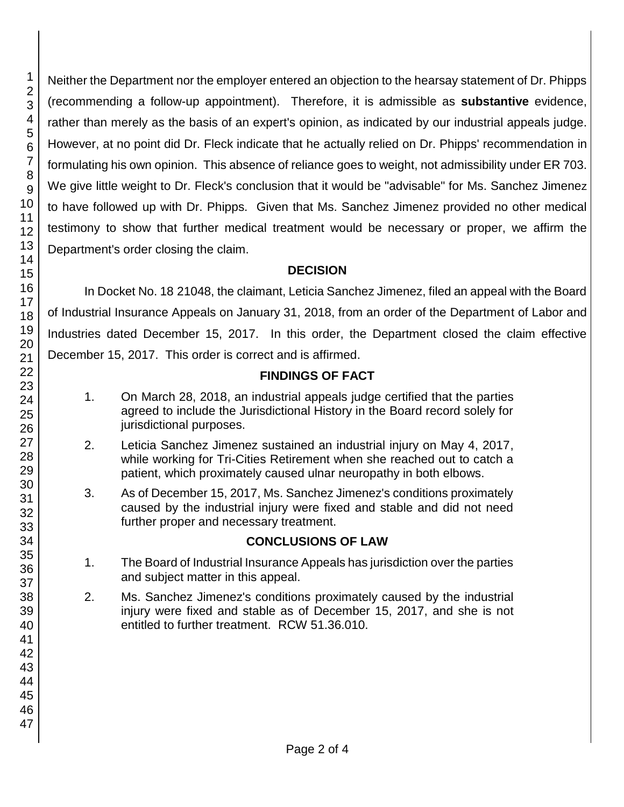Neither the Department nor the employer entered an objection to the hearsay statement of Dr. Phipps (recommending a follow-up appointment). Therefore, it is admissible as **substantive** evidence, rather than merely as the basis of an expert's opinion, as indicated by our industrial appeals judge. However, at no point did Dr. Fleck indicate that he actually relied on Dr. Phipps' recommendation in formulating his own opinion. This absence of reliance goes to weight, not admissibility under ER 703. We give little weight to Dr. Fleck's conclusion that it would be "advisable" for Ms. Sanchez Jimenez to have followed up with Dr. Phipps. Given that Ms. Sanchez Jimenez provided no other medical testimony to show that further medical treatment would be necessary or proper, we affirm the Department's order closing the claim.

#### **DECISION**

In Docket No. 18 21048, the claimant, Leticia Sanchez Jimenez, filed an appeal with the Board of Industrial Insurance Appeals on January 31, 2018, from an order of the Department of Labor and Industries dated December 15, 2017. In this order, the Department closed the claim effective December 15, 2017. This order is correct and is affirmed.

# **FINDINGS OF FACT**

- 1. On March 28, 2018, an industrial appeals judge certified that the parties agreed to include the Jurisdictional History in the Board record solely for jurisdictional purposes.
- 2. Leticia Sanchez Jimenez sustained an industrial injury on May 4, 2017, while working for Tri-Cities Retirement when she reached out to catch a patient, which proximately caused ulnar neuropathy in both elbows.
- 3. As of December 15, 2017, Ms. Sanchez Jimenez's conditions proximately caused by the industrial injury were fixed and stable and did not need further proper and necessary treatment.

# **CONCLUSIONS OF LAW**

- 1. The Board of Industrial Insurance Appeals has jurisdiction over the parties and subject matter in this appeal.
- 2. Ms. Sanchez Jimenez's conditions proximately caused by the industrial injury were fixed and stable as of December 15, 2017, and she is not entitled to further treatment. RCW 51.36.010.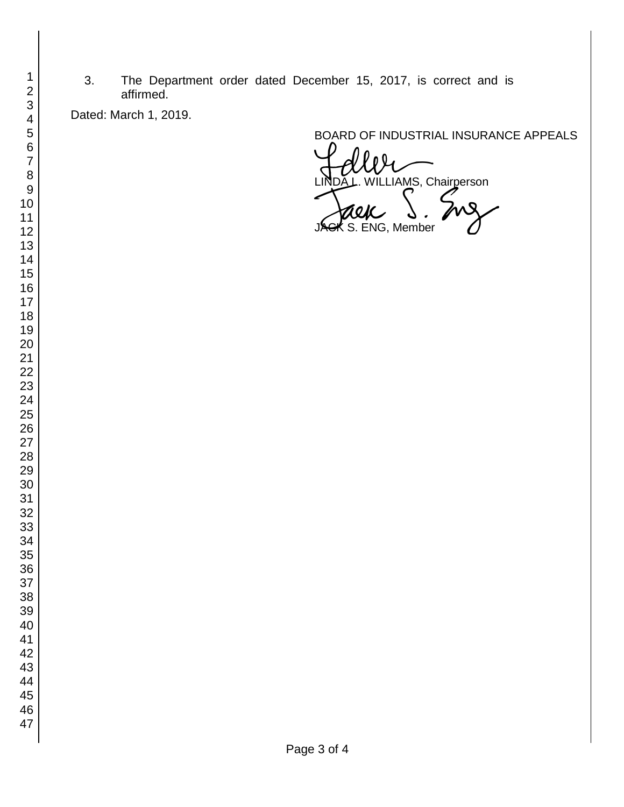3. The Department order dated December 15, 2017, is correct and is affirmed.

Dated: March 1, 2019.

BOARD OF INDUSTRIAL INSURANCE APPEALS

VILLIAMS, Chairperson S. ENG, Member